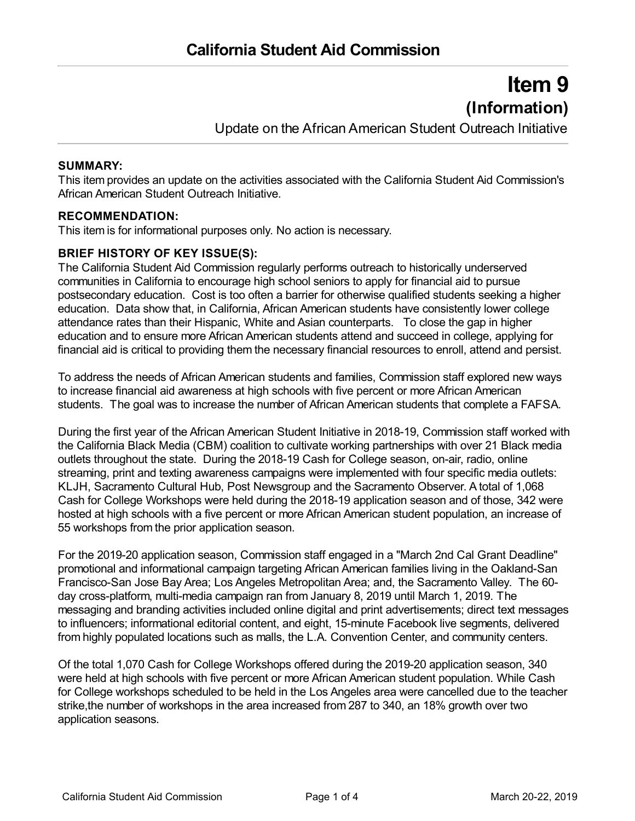# **Item 9 (Information)**

Update on the African American Student Outreach Initiative

#### **SUMMARY:**

This item provides an update on the activities associated with the California Student Aid Commission's African American Student Outreach Initiative.

## **RECOMMENDATION:**

This item is for informational purposes only. No action is necessary.

## **BRIEF HISTORY OF KEY ISSUE(S):**

The California Student Aid Commission regularly performs outreach to historically underserved communities in California to encourage high school seniors to apply for financial aid to pursue postsecondary education. Cost is too often a barrier for otherwise qualified students seeking a higher education. Data show that, in California, African American students have consistently lower college attendance rates than their Hispanic, White and Asian counterparts. To close the gap in higher education and to ensure more African American students attend and succeed in college, applying for financial aid is critical to providing them the necessary financial resources to enroll, attend and persist.

To address the needs of African American students and families, Commission staff explored new ways to increase financial aid awareness at high schools with five percent or more African American students. The goal was to increase the number of African American students that complete a FAFSA.

During the first year of the African American Student Initiative in 2018-19, Commission staff worked with the California Black Media (CBM) coalition to cultivate working partnerships with over 21 Black media outlets throughout the state. During the 2018-19 Cash for College season, on-air, radio, online streaming, print and texting awareness campaigns were implemented with four specific media outlets: KLJH, Sacramento Cultural Hub, Post Newsgroup and the Sacramento Observer. A total of 1,068 Cash for College Workshops were held during the 2018-19 application season and of those, 342 were hosted at high schools with a five percent or more African American student population, an increase of 55 workshops from the prior application season.

For the 2019-20 application season, Commission staff engaged in a "March 2nd Cal Grant Deadline" promotional and informational campaign targeting African American families living in the Oakland-San Francisco-San Jose Bay Area; Los Angeles Metropolitan Area; and, the Sacramento Valley. The 60 day cross-platform, multi-media campaign ran from January 8, 2019 until March 1, 2019. The messaging and branding activities included online digital and print advertisements; direct text messages to influencers; informational editorial content, and eight, 15-minute Facebook live segments, delivered from highly populated locations such as malls, the L.A. Convention Center, and community centers.

Of the total 1,070 Cash for College Workshops offered during the 2019-20 application season, 340 were held at high schools with five percent or more African American student population. While Cash for College workshops scheduled to be held in the Los Angeles area were cancelled due to the teacher strike,the number of workshops in the area increased from 287 to 340, an 18% growth over two application seasons.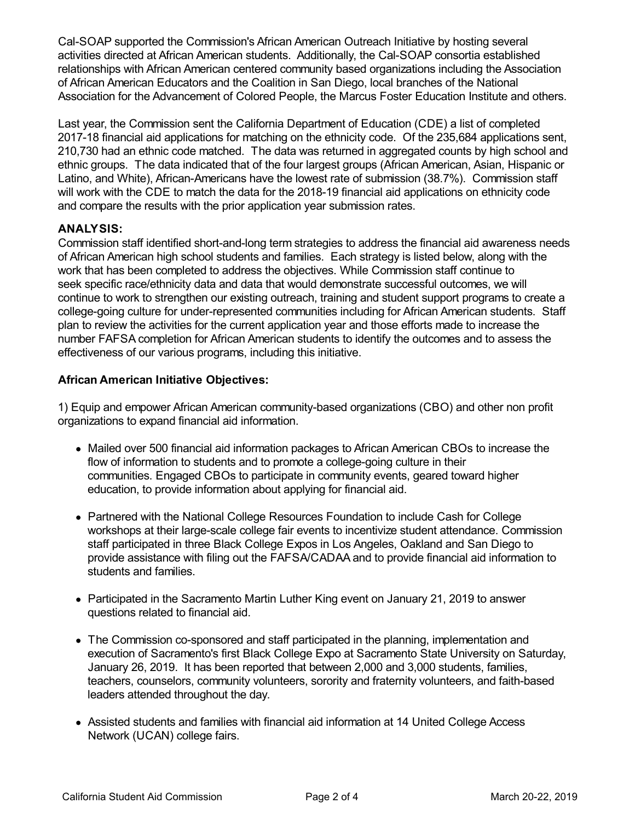Cal-SOAP supported the Commission's African American Outreach Initiative by hosting several activities directed at African American students. Additionally, the Cal-SOAP consortia established relationships with African American centered community based organizations including the Association of African American Educators and the Coalition in San Diego, local branches of the National Association for the Advancement of Colored People, the Marcus Foster Education Institute and others.

Last year, the Commission sent the California Department of Education (CDE) a list of completed 2017-18 financial aid applications for matching on the ethnicity code. Of the 235,684 applications sent, 210,730 had an ethnic code matched. The data was returned in aggregated counts by high school and ethnic groups. The data indicated that of the four largest groups (African American, Asian, Hispanic or Latino, and White), African-Americans have the lowest rate of submission (38.7%). Commission staff will work with the CDE to match the data for the 2018-19 financial aid applications on ethnicity code and compare the results with the prior application year submission rates.

## **ANALYSIS:**

Commission staff identified short-and-long term strategies to address the financial aid awareness needs of African American high school students and families. Each strategy is listed below, along with the work that has been completed to address the objectives. While Commission staff continue to seek specific race/ethnicity data and data that would demonstrate successful outcomes, we will continue to work to strengthen our existing outreach, training and student support programs to create a college-going culture for under-represented communities including for African American students. Staff plan to review the activities for the current application year and those efforts made to increase the number FAFSA completion for African American students to identify the outcomes and to assess the effectiveness of our various programs, including this initiative.

## **African American Initiative Objectives:**

1) Equip and empower African American community-based organizations (CBO) and other non profit organizations to expand financial aid information.

- Mailed over 500 financial aid information packages to African American CBOs to increase the flow of information to students and to promote a college-going culture in their communities. Engaged CBOs to participate in community events, geared toward higher education, to provide information about applying for financial aid.
- Partnered with the National College Resources Foundation to include Cash for College workshops at their large-scale college fair events to incentivize student attendance. Commission staff participated in three Black College Expos in Los Angeles, Oakland and San Diego to provide assistance with filing out the FAFSA/CADAA and to provide financial aid information to students and families.
- Participated in the Sacramento Martin Luther King event on January 21, 2019 to answer questions related to financial aid.
- The Commission co-sponsored and staff participated in the planning, implementation and execution of Sacramento's first Black College Expo at Sacramento State University on Saturday, January 26, 2019. It has been reported that between 2,000 and 3,000 students, families, teachers, counselors, community volunteers, sorority and fraternity volunteers, and faith-based leaders attended throughout the day.
- Assisted students and families with financial aid information at 14 United College Access Network (UCAN) college fairs.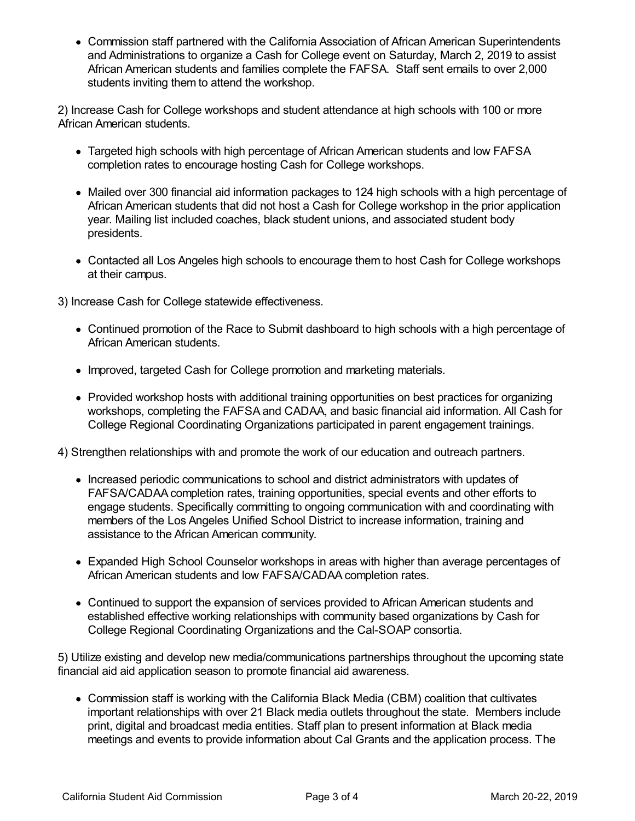Commission staff partnered with the California Association of African American Superintendents and Administrations to organize a Cash for College event on Saturday, March 2, 2019 to assist African American students and families complete the FAFSA. Staff sent emails to over 2,000 students inviting them to attend the workshop.

2) Increase Cash for College workshops and student attendance at high schools with 100 or more African American students.

- Targeted high schools with high percentage of African American students and low FAFSA completion rates to encourage hosting Cash for College workshops.
- Mailed over 300 financial aid information packages to 124 high schools with a high percentage of African American students that did not host a Cash for College workshop in the prior application year. Mailing list included coaches, black student unions, and associated student body presidents.
- Contacted all Los Angeles high schools to encourage them to host Cash for College workshops at their campus.

3) Increase Cash for College statewide effectiveness.

- Continued promotion of the Race to Submit dashboard to high schools with a high percentage of African American students.
- Improved, targeted Cash for College promotion and marketing materials.
- Provided workshop hosts with additional training opportunities on best practices for organizing workshops, completing the FAFSA and CADAA, and basic financial aid information. All Cash for College Regional Coordinating Organizations participated in parent engagement trainings.
- 4) Strengthen relationships with and promote the work of our education and outreach partners.
	- Increased periodic communications to school and district administrators with updates of FAFSA/CADAA completion rates, training opportunities, special events and other efforts to engage students. Specifically committing to ongoing communication with and coordinating with members of the Los Angeles Unified School District to increase information, training and assistance to the African American community.
	- Expanded High School Counselor workshops in areas with higher than average percentages of African American students and low FAFSA/CADAA completion rates.
	- Continued to support the expansion of services provided to African American students and established effective working relationships with community based organizations by Cash for College Regional Coordinating Organizations and the Cal-SOAP consortia.

5) Utilize existing and develop new media/communications partnerships throughout the upcoming state financial aid aid application season to promote financial aid awareness.

Commission staff is working with the California Black Media (CBM) coalition that cultivates important relationships with over 21 Black media outlets throughout the state. Members include print, digital and broadcast media entities. Staff plan to present information at Black media meetings and events to provide information about Cal Grants and the application process. The